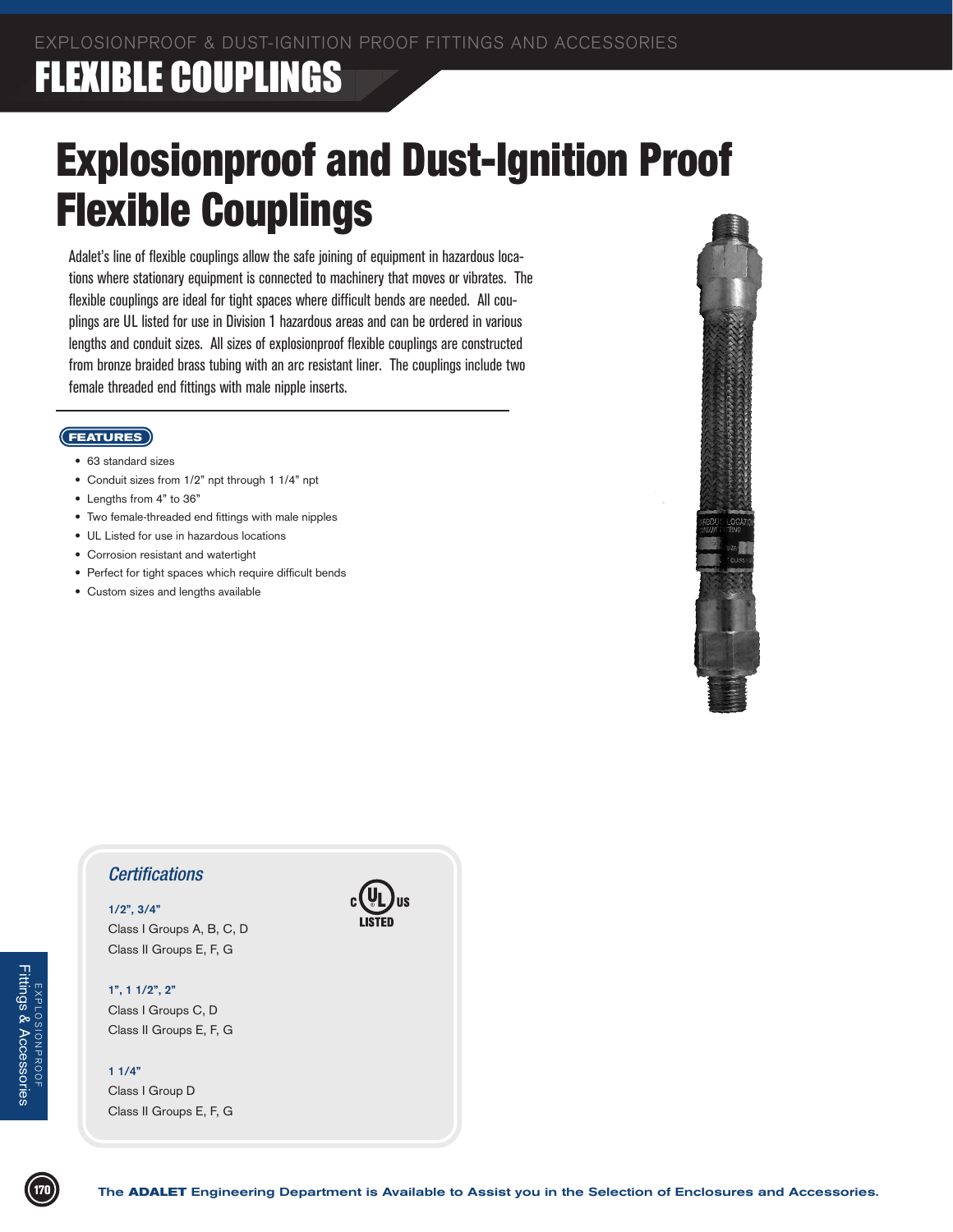### **FLEXIBLE COUPLINGS**

# Explosionproof and Dust-Ignition Proof Flexible Couplings

Adalet's line of flexible couplings allow the safe joining of equipment in hazardous locations where stationary equipment is connected to machinery that moves or vibrates. The flexible couplings are ideal for tight spaces where difficult bends are needed. All couplings are UL listed for use in Division 1 hazardous areas and can be ordered in various lengths and conduit sizes. All sizes of explosionproof flexible couplings are constructed from bronze braided brass tubing with an arc resistant liner. The couplings include two female threaded end fittings with male nipple inserts.

#### **FEATURES**

- 63 standard sizes
- Conduit sizes from 1/2" npt through 1 1/4" npt
- Lengths from 4" to 36"
- Two female-threaded end fittings with male nipples
- UL Listed for use in hazardous locations
- Corrosion resistant and watertight
- Perfect for tight spaces which require difficult bends
- Custom sizes and lengths available



### *Certifications*

### **1/2", 3/4"**

Class I Groups A, B, C, D Class II Groups E, F, G

#### **1", 1 1/2", 2"**

Class I Groups C, D Class II Groups E, F, G

#### **1 1/4"**

Class I Group D Class II Groups E, F, G